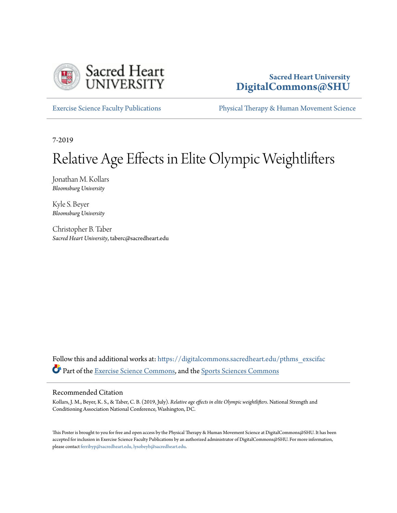

#### **Sacred Heart University [DigitalCommons@SHU](https://digitalcommons.sacredheart.edu?utm_source=digitalcommons.sacredheart.edu%2Fpthms_exscifac%2F39&utm_medium=PDF&utm_campaign=PDFCoverPages)**

[Exercise Science Faculty Publications](https://digitalcommons.sacredheart.edu/pthms_exscifac?utm_source=digitalcommons.sacredheart.edu%2Fpthms_exscifac%2F39&utm_medium=PDF&utm_campaign=PDFCoverPages) [Physical Therapy & Human Movement Science](https://digitalcommons.sacredheart.edu/pthms?utm_source=digitalcommons.sacredheart.edu%2Fpthms_exscifac%2F39&utm_medium=PDF&utm_campaign=PDFCoverPages)

7-2019

#### Relative Age Effects in Elite Olympic Weightlifters

Jonathan M. Kollars *Bloomsburg University*

Kyle S. Beyer *Bloomsburg University*

Christopher B. Taber *Sacred Heart University*, taberc@sacredheart.edu

Follow this and additional works at: [https://digitalcommons.sacredheart.edu/pthms\\_exscifac](https://digitalcommons.sacredheart.edu/pthms_exscifac?utm_source=digitalcommons.sacredheart.edu%2Fpthms_exscifac%2F39&utm_medium=PDF&utm_campaign=PDFCoverPages) Part of the [Exercise Science Commons,](http://network.bepress.com/hgg/discipline/1091?utm_source=digitalcommons.sacredheart.edu%2Fpthms_exscifac%2F39&utm_medium=PDF&utm_campaign=PDFCoverPages) and the [Sports Sciences Commons](http://network.bepress.com/hgg/discipline/759?utm_source=digitalcommons.sacredheart.edu%2Fpthms_exscifac%2F39&utm_medium=PDF&utm_campaign=PDFCoverPages)

#### Recommended Citation

Kollars, J. M., Beyer, K. S., & Taber, C. B. (2019, July). *Relative age effects in elite Olympic weightlifters*. National Strength and Conditioning Association National Conference, Washington, DC.

This Poster is brought to you for free and open access by the Physical Therapy & Human Movement Science at DigitalCommons@SHU. It has been accepted for inclusion in Exercise Science Faculty Publications by an authorized administrator of DigitalCommons@SHU. For more information, please contact [ferribyp@sacredheart.edu, lysobeyb@sacredheart.edu](mailto:ferribyp@sacredheart.edu,%20lysobeyb@sacredheart.edu).